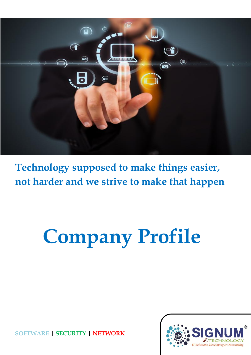

**Technology supposed to make things easier, not harder and we strive to make that happen**

# **Company Profile**

**SOFTWARE | SECURITY | NETWORK**

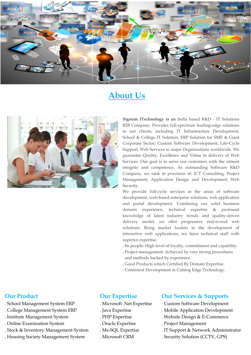

# **About Us**



**Signum ITechnology is an** India based R&D - IT Solutions B2B Company, Provides full-spectrum leading-edge solutions to our clients, including IT Infrastructure Development, School & College IT Solution, ERP Solution for SME & Giant Corporate Sector, Custom Software Development, Life-Cycle Support, Web Services to major Organizations worldwide. We guarantee Quality, Excellence and Virtue in delivery of Web Services. Our goal is to serve our customers with the utmost integrity and competence. As outstanding Software R&D Company, we rank in provision of: ICT Consulting, Project Management, Application Design and Development, Web Security.

We provide full-cycle services in the areas of software development, web-based enterprise solutions, web application and portal development. Combining our solid business domain experience, technical expertise & profound knowledge of latest industry trends and quality-driven delivery model, we offer progressive end-to-end web solutions. Being market leaders in the development of interactive web applications, we have technical staff with superior expertise.

- **.** Its people: High level of loyalty, commitment and capability.
- **.** Project management: Achieved by very strong procedures and methods backed by experience.
- **.** Good Products which Certified By Domain Expertise.
- **.** Consistent Development in Cutting Edge Technology.

#### **Our Product**

- . School Management System ERP
- . College Management System ERP
- . Institute Management System
- . Online Examination System
- . Stock & Inventory Management System
- . Housing Society Management System

#### **Our Expertise**

- . Microsoft .Net Expertise
- . Java Expertise
- . PHP Expertise
- . Oracle Expertise
- . Ms-SQL Expertise
- . Microsoft CRM

#### **Our Services & Supports**

- ∙ Custom Software Development
- . Mobile Application Development
- . Website Design & E-Commerce
- . Project Management
- . IT Support & Network Administrator
- . Security Solution (CCTV, GPS)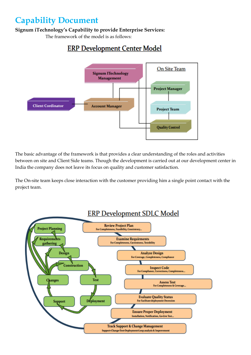# **Capability Document**

**Signum iTechnology's Capability to provide Enterprise Services:**

The framework of the model is as follows:

# **ERP Development Center Model**



The basic advantage of the framework is that provides a clear understanding of the roles and activities between on site and Client Side teams. Though the development is carried out at our development center in India the company does not leave its focus on quality and customer satisfaction.

The On-site team keeps close interaction with the customer providing him a single point contact with the project team.

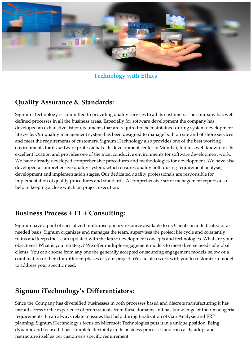

**Technology with Ethics**

# **Quality Assurance & Standards:**

Signum ITechnology is committed to providing quality services to all its customers. The company has well defined processes in all the business areas. Especially for software development the company has developed an exhaustive list of documents that are required to be maintained during system development life cycle. Our quality management system has been designed to manage both on site and of shore services and meet the requirements of customers. Signum ITechnology also provides one of the best working environments for its software professionals. Its development center in Mumbai, India is well known for its excellent location and provides one of the most conducive environments for software development work. We have already developed comprehensive procedures and methodologies for development. We have also developed a comprehensive quality system, which ensures quality both during requirement analysis, development and implementation stages. Our dedicated quality professionals are responsible for implementation of quality procedures and standards. A comprehensive set of management reports also help in keeping a close watch on project execution.

## **Business Process + IT + Consulting:**

Signum have a pool of specialized multi-disciplinary resource available to its Clients on a dedicated or asneeded basis. Signum organizes and manages the team, supervises the project life cycle and constantly trains and keeps the Team updated with the latest development concepts and technologies. What are your objectives? What is your strategy? We offer multiple engagement models to meet diverse needs of global clients. You can choose from any one the generally accepted outsourcing engagement models below or a combination of them for different phases of your project. We can also work with you to customize a model to address your specific need.

## **Signum iTechnology's Differentiators:**

Since the Company has diversified businesses in both processes based and discrete manufacturing it has instant access to the experience of professionals from these domains and has knowledge of their managerial requirements. It can always relate to issues that help during finalization of Gap Analysis and ERP planning. Signum iTechnology's focus on Microsoft Technologies puts it in a unique position. Being dynamic and focused it has complete flexibility in its business processes and can easily adopt and restructure itself as per customer's specific requirement.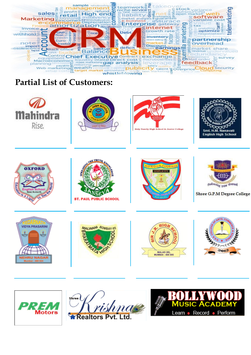